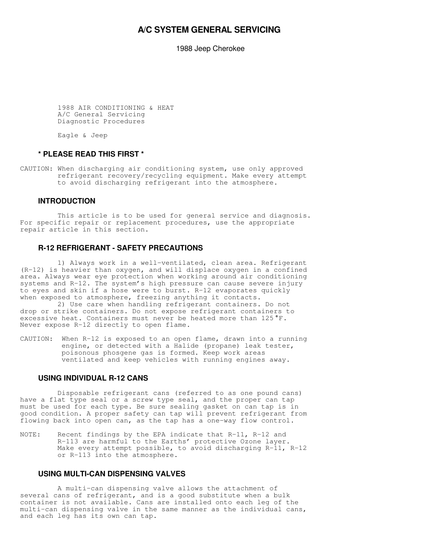## **A/C SYSTEM GENERAL SERVICING**

1988 Jeep Cherokee

 1988 AIR CONDITIONING & HEAT A/C General Servicing Diagnostic Procedures

Eagle & Jeep

## **\* PLEASE READ THIS FIRST \***

CAUTION: When discharging air conditioning system, use only approved refrigerant recovery/recycling equipment. Make every attempt to avoid discharging refrigerant into the atmosphere.

#### **INTRODUCTION**

 This article is to be used for general service and diagnosis. For specific repair or replacement procedures, use the appropriate repair article in this section.

## **R-12 REFRIGERANT - SAFETY PRECAUTIONS**

 1) Always work in a well-ventilated, clean area. Refrigerant (R-12) is heavier than oxygen, and will displace oxygen in a confined area. Always wear eye protection when working around air conditioning systems and R-12. The system's high pressure can cause severe injury to eyes and skin if a hose were to burst. R-12 evaporates quickly when exposed to atmosphere, freezing anything it contacts.

 2) Use care when handling refrigerant containers. Do not drop or strike containers. Do not expose refrigerant containers to excessive heat. Containers must never be heated more than 125°F. Never expose R-12 directly to open flame.

CAUTION: When R-12 is exposed to an open flame, drawn into a running engine, or detected with a Halide (propane) leak tester, poisonous phosgene gas is formed. Keep work areas ventilated and keep vehicles with running engines away.

#### **USING INDIVIDUAL R-12 CANS**

 Disposable refrigerant cans (referred to as one pound cans) have a flat type seal or a screw type seal, and the proper can tap must be used for each type. Be sure sealing gasket on can tap is in good condition. A proper safety can tap will prevent refrigerant from flowing back into open can, as the tap has a one-way flow control.

NOTE: Recent findings by the EPA indicate that R-11, R-12 and R-113 are harmful to the Earths' protective Ozone layer. Make every attempt possible, to avoid discharging R-11, R-12 or R-113 into the atmosphere.

## **USING MULTI-CAN DISPENSING VALVES**

 A multi-can dispensing valve allows the attachment of several cans of refrigerant, and is a good substitute when a bulk container is not available. Cans are installed onto each leg of the multi-can dispensing valve in the same manner as the individual cans, and each leg has its own can tap.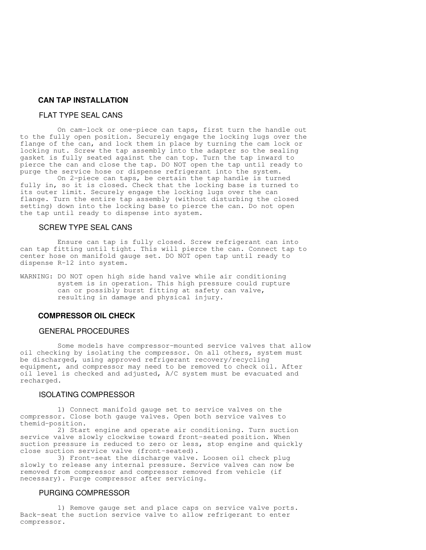## **CAN TAP INSTALLATION**

## FLAT TYPE SEAL CANS

 On cam-lock or one-piece can taps, first turn the handle out to the fully open position. Securely engage the locking lugs over the flange of the can, and lock them in place by turning the cam lock or locking nut. Screw the tap assembly into the adapter so the sealing gasket is fully seated against the can top. Turn the tap inward to pierce the can and close the tap. DO NOT open the tap until ready to purge the service hose or dispense refrigerant into the system.

 On 2-piece can taps, be certain the tap handle is turned fully in, so it is closed. Check that the locking base is turned to its outer limit. Securely engage the locking lugs over the can flange. Turn the entire tap assembly (without disturbing the closed setting) down into the locking base to pierce the can. Do not open the tap until ready to dispense into system.

#### SCREW TYPE SEAL CANS

 Ensure can tap is fully closed. Screw refrigerant can into can tap fitting until tight. This will pierce the can. Connect tap to center hose on manifold gauge set. DO NOT open tap until ready to dispense R-12 into system.

WARNING: DO NOT open high side hand valve while air conditioning system is in operation. This high pressure could rupture can or possibly burst fitting at safety can valve, resulting in damage and physical injury.

### **COMPRESSOR OIL CHECK**

#### GENERAL PROCEDURES

 Some models have compressor-mounted service valves that allow oil checking by isolating the compressor. On all others, system must be discharged, using approved refrigerant recovery/recycling equipment, and compressor may need to be removed to check oil. After oil level is checked and adjusted, A/C system must be evacuated and recharged.

## ISOLATING COMPRESSOR

 1) Connect manifold gauge set to service valves on the compressor. Close both gauge valves. Open both service valves to themid-position.

 2) Start engine and operate air conditioning. Turn suction service valve slowly clockwise toward front-seated position. When suction pressure is reduced to zero or less, stop engine and quickly close suction service valve (front-seated).

 3) Front-seat the discharge valve. Loosen oil check plug slowly to release any internal pressure. Service valves can now be removed from compressor and compressor removed from vehicle (if necessary). Purge compressor after servicing.

#### PURGING COMPRESSOR

 1) Remove gauge set and place caps on service valve ports. Back-seat the suction service valve to allow refrigerant to enter compressor.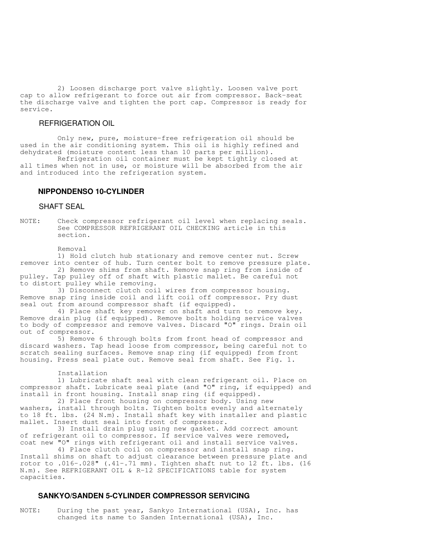2) Loosen discharge port valve slightly. Loosen valve port cap to allow refrigerant to force out air from compressor. Back-seat the discharge valve and tighten the port cap. Compressor is ready for service.

#### REFRIGERATION OIL

 Only new, pure, moisture-free refrigeration oil should be used in the air conditioning system. This oil is highly refined and dehydrated (moisture content less than 10 parts per million).

 Refrigeration oil container must be kept tightly closed at all times when not in use, or moisture will be absorbed from the air and introduced into the refrigeration system.

#### **NIPPONDENSO 10-CYLINDER**

#### SHAFT SEAL

NOTE: Check compressor refrigerant oil level when replacing seals. See COMPRESSOR REFRIGERANT OIL CHECKING article in this section.

Removal

 1) Hold clutch hub stationary and remove center nut. Screw remover into center of hub. Turn center bolt to remove pressure plate.

 2) Remove shims from shaft. Remove snap ring from inside of pulley. Tap pulley off of shaft with plastic mallet. Be careful not to distort pulley while removing.

 3) Disconnect clutch coil wires from compressor housing. Remove snap ring inside coil and lift coil off compressor. Pry dust seal out from around compressor shaft (if equipped).

 4) Place shaft key remover on shaft and turn to remove key. Remove drain plug (if equipped). Remove bolts holding service valves to body of compressor and remove valves. Discard "O" rings. Drain oil out of compressor.

 5) Remove 6 through bolts from front head of compressor and discard washers. Tap head loose from compressor, being careful not to scratch sealing surfaces. Remove snap ring (if equipped) from front housing. Press seal plate out. Remove seal from shaft. See Fig. 1.

#### Installation

 1) Lubricate shaft seal with clean refrigerant oil. Place on compressor shaft. Lubricate seal plate (and "O" ring, if equipped) and install in front housing. Install snap ring (if equipped).

 2) Place front housing on compressor body. Using new washers, install through bolts. Tighten bolts evenly and alternately to 18 ft. lbs. (24 N.m). Install shaft key with installer and plastic mallet. Insert dust seal into front of compressor.

 3) Install drain plug using new gasket. Add correct amount of refrigerant oil to compressor. If service valves were removed, coat new "O" rings with refrigerant oil and install service valves.

 4) Place clutch coil on compressor and install snap ring. Install shims on shaft to adjust clearance between pressure plate and rotor to .016-.028" (.41-.71 mm). Tighten shaft nut to 12 ft. lbs. (16 N.m). See REFRIGERANT OIL & R-12 SPECIFICATIONS table for system capacities.

#### **SANKYO/SANDEN 5-CYLINDER COMPRESSOR SERVICING**

NOTE: During the past year, Sankyo International (USA), Inc. has changed its name to Sanden International (USA), Inc.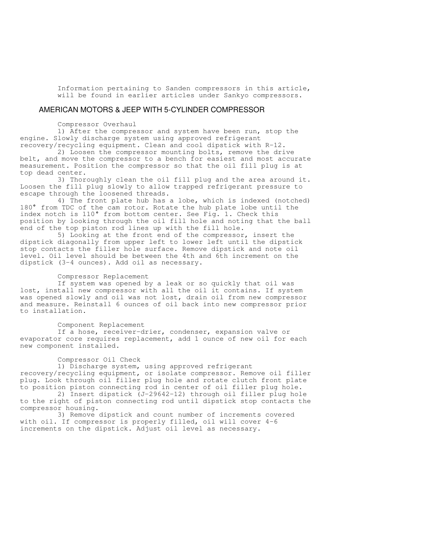Information pertaining to Sanden compressors in this article, will be found in earlier articles under Sankyo compressors.

#### AMERICAN MOTORS & JEEP WITH 5-CYLINDER COMPRESSOR

Compressor Overhaul

 1) After the compressor and system have been run, stop the engine. Slowly discharge system using approved refrigerant recovery/recycling equipment. Clean and cool dipstick with R-12.

 2) Loosen the compressor mounting bolts, remove the drive belt, and move the compressor to a bench for easiest and most accurate measurement. Position the compressor so that the oil fill plug is at top dead center.

 3) Thoroughly clean the oil fill plug and the area around it. Loosen the fill plug slowly to allow trapped refrigerant pressure to escape through the loosened threads.

 4) The front plate hub has a lobe, which is indexed (notched) 180° from TDC of the cam rotor. Rotate the hub plate lobe until the index notch is 110° from bottom center. See Fig. 1. Check this position by looking through the oil fill hole and noting that the ball end of the top piston rod lines up with the fill hole.

 5) Looking at the front end of the compressor, insert the dipstick diagonally from upper left to lower left until the dipstick stop contacts the filler hole surface. Remove dipstick and note oil level. Oil level should be between the 4th and 6th increment on the dipstick (3-4 ounces). Add oil as necessary.

#### Compressor Replacement

 If system was opened by a leak or so quickly that oil was lost, install new compressor with all the oil it contains. If system was opened slowly and oil was not lost, drain oil from new compressor and measure. Reinstall 6 ounces of oil back into new compressor prior to installation.

#### Component Replacement

 If a hose, receiver-drier, condenser, expansion valve or evaporator core requires replacement, add 1 ounce of new oil for each new component installed.

#### Compressor Oil Check

 1) Discharge system, using approved refrigerant recovery/recycling equipment, or isolate compressor. Remove oil filler plug. Look through oil filler plug hole and rotate clutch front plate to position piston connecting rod in center of oil filler plug hole.

 2) Insert dipstick (J-29642-12) through oil filler plug hole to the right of piston connecting rod until dipstick stop contacts the compressor housing.

 3) Remove dipstick and count number of increments covered with oil. If compressor is properly filled, oil will cover 4-6 increments on the dipstick. Adjust oil level as necessary.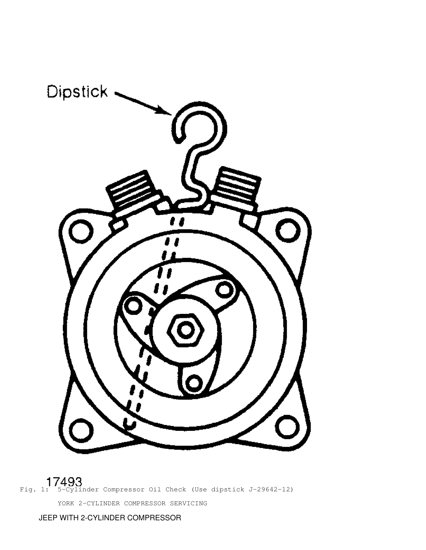

Fig. 1: 5-Cylinder Compressor Oil Check (Use dipstick J-29642-12) YORK 2-CYLINDER COMPRESSOR SERVICING

JEEP WITH 2-CYLINDER COMPRESSOR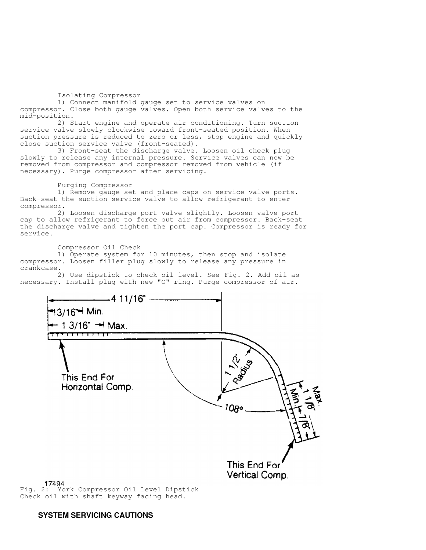Isolating Compressor

 1) Connect manifold gauge set to service valves on compressor. Close both gauge valves. Open both service valves to the mid-position.

 2) Start engine and operate air conditioning. Turn suction service valve slowly clockwise toward front-seated position. When suction pressure is reduced to zero or less, stop engine and quickly close suction service valve (front-seated).

 3) Front-seat the discharge valve. Loosen oil check plug slowly to release any internal pressure. Service valves can now be removed from compressor and compressor removed from vehicle (if necessary). Purge compressor after servicing.

Purging Compressor

 1) Remove gauge set and place caps on service valve ports. Back-seat the suction service valve to allow refrigerant to enter compressor.

 2) Loosen discharge port valve slightly. Loosen valve port cap to allow refrigerant to force out air from compressor. Back-seat the discharge valve and tighten the port cap. Compressor is ready for service.

Compressor Oil Check

 1) Operate system for 10 minutes, then stop and isolate compressor. Loosen filler plug slowly to release any pressure in crankcase.

 2) Use dipstick to check oil level. See Fig. 2. Add oil as necessary. Install plug with new "O" ring. Purge compressor of air.



17494<br>Fig. 2: York Compressor Oil Level Dipstick Check oil with shaft keyway facing head.

## **SYSTEM SERVICING CAUTIONS**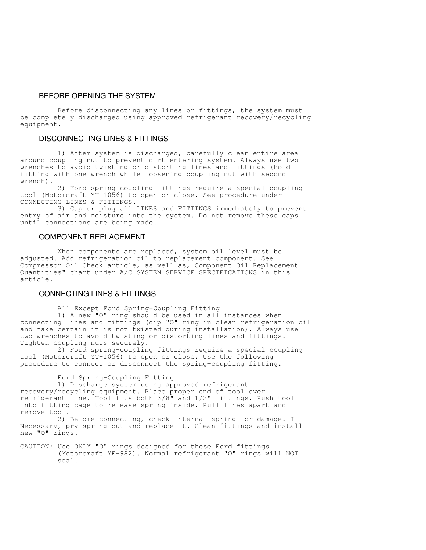## BEFORE OPENING THE SYSTEM

 Before disconnecting any lines or fittings, the system must be completely discharged using approved refrigerant recovery/recycling equipment.

#### DISCONNECTING LINES & FITTINGS

 1) After system is discharged, carefully clean entire area around coupling nut to prevent dirt entering system. Always use two wrenches to avoid twisting or distorting lines and fittings (hold fitting with one wrench while loosening coupling nut with second wrench).

 2) Ford spring-coupling fittings require a special coupling tool (Motorcraft YT-1056) to open or close. See procedure under CONNECTING LINES & FITTINGS.

 3) Cap or plug all LINES and FITTINGS immediately to prevent entry of air and moisture into the system. Do not remove these caps until connections are being made.

#### COMPONENT REPLACEMENT

 When components are replaced, system oil level must be adjusted. Add refrigeration oil to replacement component. See Compressor Oil Check article, as well as, Component Oil Replacement Quantities" chart under A/C SYSTEM SERVICE SPECIFICATIONS in this article.

#### CONNECTING LINES & FITTINGS

All Except Ford Spring-Coupling Fitting

 1) A new "O" ring should be used in all instances when connecting lines and fittings (dip "O" ring in clean refrigeration oil and make certain it is not twisted during installation). Always use two wrenches to avoid twisting or distorting lines and fittings. Tighten coupling nuts securely.

 2) Ford spring-coupling fittings require a special coupling tool (Motorcraft YT-1056) to open or close. Use the following procedure to connect or disconnect the spring-coupling fitting.

#### Ford Spring-Coupling Fitting

 1) Discharge system using approved refrigerant recovery/recycling equipment. Place proper end of tool over refrigerant line. Tool fits both 3/8" and 1/2" fittings. Push tool into fitting cage to release spring inside. Pull lines apart and remove tool.

 2) Before connecting, check internal spring for damage. If Necessary, pry spring out and replace it. Clean fittings and install new "O" rings.

CAUTION: Use ONLY "O" rings designed for these Ford fittings (Motorcraft YF-982). Normal refrigerant "O" rings will NOT seal.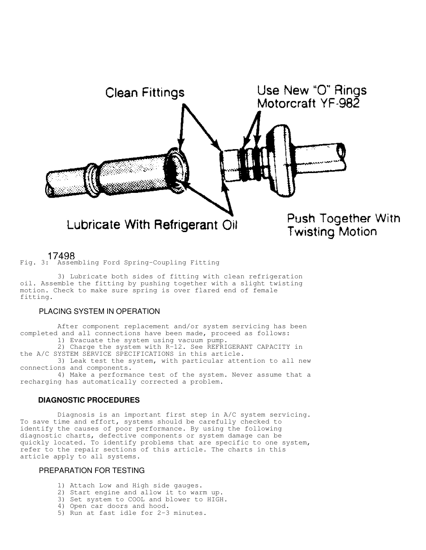

17498<br>Fig. 3: Assembling Ford Spring-Coupling Fitting

 3) Lubricate both sides of fitting with clean refrigeration oil. Assemble the fitting by pushing together with a slight twisting motion. Check to make sure spring is over flared end of female fitting.

## PLACING SYSTEM IN OPERATION

 After component replacement and/or system servicing has been completed and all connections have been made, proceed as follows: 1) Evacuate the system using vacuum pump.

 2) Charge the system with R-12. See REFRIGERANT CAPACITY in the A/C SYSTEM SERVICE SPECIFICATIONS in this article.

 3) Leak test the system, with particular attention to all new connections and components.

 4) Make a performance test of the system. Never assume that a recharging has automatically corrected a problem.

## **DIAGNOSTIC PROCEDURES**

 Diagnosis is an important first step in A/C system servicing. To save time and effort, systems should be carefully checked to identify the causes of poor performance. By using the following diagnostic charts, defective components or system damage can be quickly located. To identify problems that are specific to one system, refer to the repair sections of this article. The charts in this article apply to all systems.

### PREPARATION FOR TESTING

- 1) Attach Low and High side gauges.
- 2) Start engine and allow it to warm up.
- 3) Set system to COOL and blower to HIGH.
- 4) Open car doors and hood.
- 5) Run at fast idle for 2-3 minutes.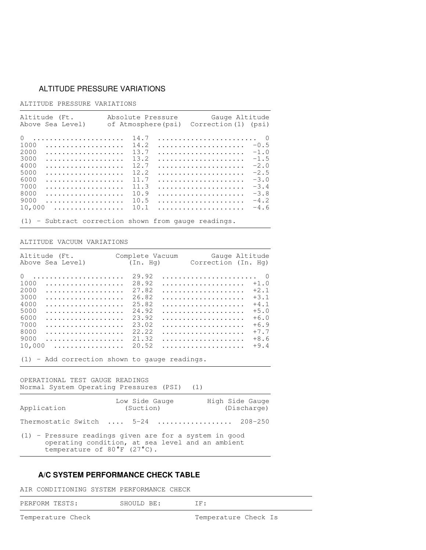## ALTITUDE PRESSURE VARIATIONS

## ALTITUDE PRESSURE VARIATIONS

| Altitude (Ft.<br>Above Sea Level) | Absolute Pressure<br>of Atmosphere(psi) | Gauge Altitude<br>Correction (1) (psi) |
|-----------------------------------|-----------------------------------------|----------------------------------------|
| $\Omega$                          | 14.7                                    |                                        |
| 1000                              | 14.2                                    | $-0.5$                                 |
| 2000                              | 13.7                                    | $-1.0$                                 |
| 3000                              | 13.2                                    | $-1.5$                                 |
| 4000                              | 12.7                                    | $-2.0$                                 |
| 5000                              | 12.2                                    | $-2.5$                                 |
| 6000                              | 11.7                                    | $-3.0$                                 |
| 7000                              | 11.3                                    | $-3.4$                                 |
| 8000                              | 10.9                                    | $-3.8$                                 |
| 9000                              | 10.5                                    | $-4.2$                                 |
| 10,000<br>.                       | 10.1                                    | $-4.6$                                 |

(1) - Subtract correction shown from gauge readings.

#### ALTITUDE VACUUM VARIATIONS

| Altitude (Ft. Complete Vacuum Gauge Altitude<br>Above Sea Level) (In. Hq) Correction (In. Hq)                                                                                                                                                                                                                                                                                                                                                                                                                                                               |                                                                                        |                                                                                        |
|-------------------------------------------------------------------------------------------------------------------------------------------------------------------------------------------------------------------------------------------------------------------------------------------------------------------------------------------------------------------------------------------------------------------------------------------------------------------------------------------------------------------------------------------------------------|----------------------------------------------------------------------------------------|----------------------------------------------------------------------------------------|
| $\cap$<br>1000<br>2000<br>3000<br>4000<br>5000<br>6000<br>.<br>7000<br>8000<br>9000                                                                                                                                                                                                                                                                                                                                                                                                                                                                         | 29.92<br>28.92<br>27.82<br>26.82<br>25.82<br>24.92<br>23.92<br>23.02<br>22.22<br>21.32 | $+1.0$<br>$+2.1$<br>$+3.1$<br>$+4.1$<br>$+5.0$<br>$+6.0$<br>$+6.9$<br>$+7.7$<br>$+8.6$ |
| 10,000<br>.<br>$\mathcal{L} \times \mathcal{L} \times \mathcal{L} \times \mathcal{L} \times \mathcal{L} \times \mathcal{L} \times \mathcal{L} \times \mathcal{L} \times \mathcal{L} \times \mathcal{L} \times \mathcal{L} \times \mathcal{L} \times \mathcal{L} \times \mathcal{L} \times \mathcal{L} \times \mathcal{L} \times \mathcal{L} \times \mathcal{L} \times \mathcal{L} \times \mathcal{L} \times \mathcal{L} \times \mathcal{L} \times \mathcal{L} \times \mathcal{L} \times \mathcal{L} \times \mathcal{L} \times \mathcal{L} \times \mathcal{$ | 20.52                                                                                  | $+9.4$                                                                                 |

(1) - Add correction shown to gauge readings.

#### OPERATIONAL TEST GAUGE READINGS Normal System Operating Pressures (PSI) (1)

| Application                           | Low Side Gauge<br>(Suction)                                                                                  | High Side Gauge<br>(Discharge) |
|---------------------------------------|--------------------------------------------------------------------------------------------------------------|--------------------------------|
|                                       | Thermostatic Switch $5-24$ 208-250                                                                           |                                |
| temperature of $80^{\circ}$ F (27°C). | $(1)$ - Pressure readings given are for a system in good<br>operating condition, at sea level and an ambient |                                |

## **A/C SYSTEM PERFORMANCE CHECK TABLE**

## AIR CONDITIONING SYSTEM PERFORMANCE CHECK

the contract of the contract of the contract of the contract of the contract of the contract of the contract of

the contract of the contract of the contract of the contract of the contract of the contract of the contract of

the contract of the contract of the contract of the contract of the contract of the contract of the contract of

the contract of the contract of the contract of the contract of the contract of the contract of the contract of

the contract of the contract of the contract of the contract of the contract of the contract of the contract of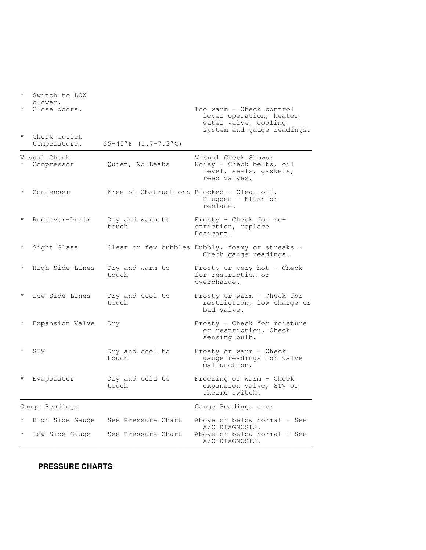| $^\star$ | Switch to LOW<br>blower.     |                          |                                                                                                           |
|----------|------------------------------|--------------------------|-----------------------------------------------------------------------------------------------------------|
|          | Close doors.                 |                          | Too warm - Check control<br>lever operation, heater<br>water valve, cooling<br>system and gauge readings. |
|          | Check outlet<br>temperature. | $35-45$ °F (1.7-7.2°C)   |                                                                                                           |
|          | Visual Check<br>Compressor   | Quiet, No Leaks          | Visual Check Shows:<br>Noisy - Check belts, oil<br>level, seals, gaskets,<br>reed valves.                 |
| $^\star$ | Condenser                    |                          | Free of Obstructions Blocked - Clean off.<br>Plugged - Flush or<br>replace.                               |
|          | Receiver-Drier               | Dry and warm to<br>touch | Frosty - Check for re-<br>striction, replace<br>Desicant.                                                 |
| $\star$  | Sight Glass                  |                          | Clear or few bubbles Bubbly, foamy or streaks -<br>Check gauge readings.                                  |
| $\star$  | High Side Lines              | Dry and warm to<br>touch | Frosty or very hot - Check<br>for restriction or<br>overcharge.                                           |
|          | Low Side Lines               | Dry and cool to<br>touch | Frosty or warm - Check for<br>restriction, low charge or<br>bad valve.                                    |
| $\star$  | Expansion Valve              | Dry                      | Frosty - Check for moisture<br>or restriction. Check<br>sensing bulb.                                     |
|          | STV                          | Dry and cool to<br>touch | Frosty or warm - Check<br>gauge readings for valve<br>malfunction.                                        |
| $^\star$ | Evaporator                   | Dry and cold to<br>touch | Freezing or warm - Check<br>expansion valve, STV or<br>thermo switch.                                     |
|          | Gauge Readings               |                          | Gauge Readings are:                                                                                       |
|          | High Side Gauge              | See Pressure Chart       | Above or below normal - See<br>A/C DIAGNOSIS.                                                             |
|          | Low Side Gauge               | See Pressure Chart       | Above or below normal - See<br>A/C DIAGNOSIS.                                                             |

the contract of the contract of the contract of the contract of the contract of the contract of the contract of

# **PRESSURE CHARTS**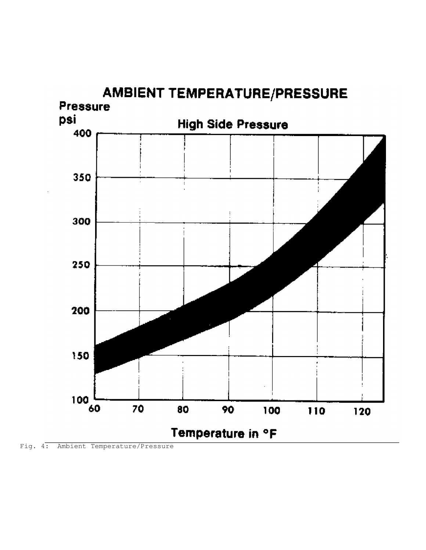

Fig. 4: Ambient Temperature/Pressure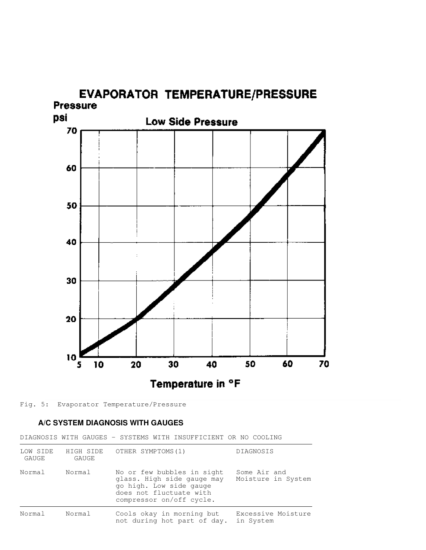

Fig. 5: Evaporator Temperature/Pressure

## **A/C SYSTEM DIAGNOSIS WITH GAUGES**

DIAGNOSIS WITH GAUGES - SYSTEMS WITH INSUFFICIENT OR NO COOLING

| LOW SIDE<br>GAUGE | HIGH SIDE<br>GAUGE | OTHER SYMPTOMS(1)                                                                                                                          | <b>DIAGNOSIS</b>                   |
|-------------------|--------------------|--------------------------------------------------------------------------------------------------------------------------------------------|------------------------------------|
| Normal            | Normal             | No or few bubbles in sight<br>glass. High side gauge may<br>go high. Low side gauge<br>does not fluctuate with<br>compressor on/off cycle. | Some Air and<br>Moisture in System |
| Normal            | Normal             | Cools okay in morning but<br>not during hot part of day.                                                                                   | Excessive Moisture<br>in System    |

the contract of the contract of the contract of the contract of the contract of the contract of the contract of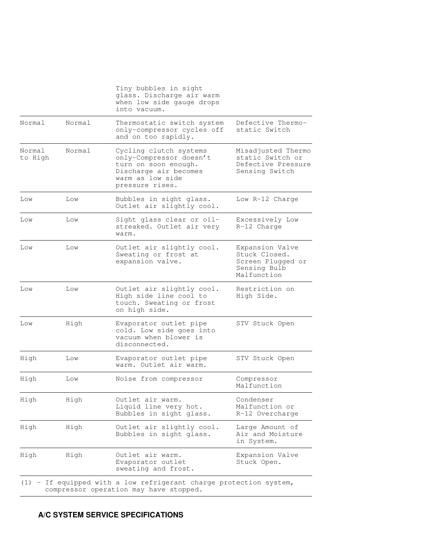|                   |        | Tiny bubbles in sight<br>glass. Discharge air warm<br>when low side gauge drops<br>into vacuum.                                           |                                                                                      |
|-------------------|--------|-------------------------------------------------------------------------------------------------------------------------------------------|--------------------------------------------------------------------------------------|
| Normal            | Normal | Thermostatic switch system<br>only-compressor cycles off<br>and on too rapidly.                                                           | Defective Thermo-<br>static Switch                                                   |
| Normal<br>to High | Normal | Cycling clutch systems<br>only-Compressor doesn't<br>turn on soon enough.<br>Discharge air becomes<br>warm as low side<br>pressure rises. | Misadjusted Thermo<br>static Switch or<br>Defective Pressure<br>Sensing Switch       |
| Low               | Low    | Bubbles in sight glass.<br>Outlet air slightly cool.                                                                                      | Low R-12 Charge                                                                      |
| Low               | Low    | Sight glass clear or oil-<br>streaked. Outlet air very<br>warm.                                                                           | Excessively Low<br>R-12 Charge                                                       |
| Low               | Low    | Outlet air slightly cool.<br>Sweating or frost at<br>expansion valve.                                                                     | Expansion Valve<br>Stuck Closed.<br>Screen Plugged or<br>Sensing Bulb<br>Malfunction |
| Low               | Low    | Outlet air slightly cool.<br>High side line cool to<br>touch. Sweating or frost<br>on high side.                                          | Restriction on<br>High Side.                                                         |
| Low               | High   | Evaporator outlet pipe<br>cold. Low side goes into<br>vacuum when blower is<br>disconnected.                                              | STV Stuck Open                                                                       |
| High              | Low    | Evaporator outlet pipe<br>warm. Outlet air warm.                                                                                          | STV Stuck Open                                                                       |
| High              | Low    | Noise from compressor                                                                                                                     | Compressor<br>Malfunction                                                            |
| High              | High   | Outlet air warm.<br>Liquid line very hot.<br>Bubbles in sight glass.                                                                      | Condenser<br>Malfunction or<br>R-12 Overcharge                                       |
| High              | High   | Outlet air slightly cool.<br>Bubbles in sight glass.                                                                                      | Large Amount of<br>Air and Moisture<br>in System.                                    |
| High              | High   | Outlet air warm.<br>Evaporator outlet<br>sweating and frost.                                                                              | Expansion Valve<br>Stuck Open.                                                       |

the contract of the contract of the contract of the contract of the contract of the contract of the contract of

# **A/C SYSTEM SERVICE SPECIFICATIONS**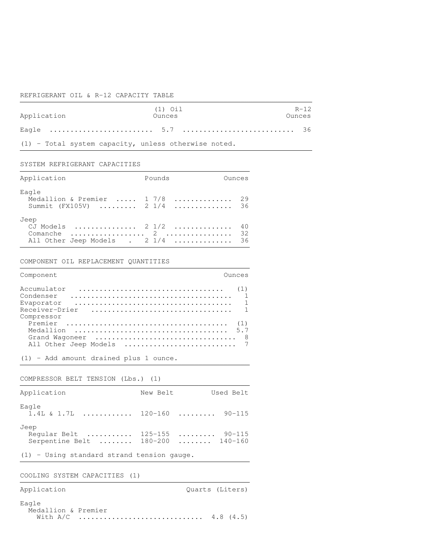#### REFRIGERANT OIL & R-12 CAPACITY TABLE

|             | $(1)$ $0i1$ | $R - 12$ |
|-------------|-------------|----------|
| Application | Ounces      | Ounces   |
|             |             |          |

the contract of the contract of the contract of the contract of the contract of the contract of the contract of

the contract of the contract of the contract of the contract of the contract of the contract of the contract of

the contract of the contract of the contract of the contract of the contract of the contract of the contract of

the contract of the contract of the contract of the contract of the contract of the contract of the contract of

the contract of the contract of the contract of the contract of the contract of the contract of the contract of

(1) - Total system capacity, unless otherwise noted.

SYSTEM REFRIGERANT CAPACITIES

| Application                                                           | Pounds | Ounces |
|-----------------------------------------------------------------------|--------|--------|
| Eagle<br>Medallion & Premier  1 7/8  29<br>Summit (FX105V)  2 1/4  36 |        |        |
| Jeep<br>CJ Models  2 1/2  40<br>All Other Jeep Models . 2 1/4  36     |        |        |

COMPONENT OIL REPLACEMENT QUANTITIES

| Component                                  | Ounces                |
|--------------------------------------------|-----------------------|
| Accumulator<br>Condenser                   | (1)<br>$\overline{1}$ |
| Evaporator<br>Receiver-Drier<br>Compressor |                       |
|                                            | (1)<br>-8             |
| Grand Wagoneer                             |                       |

(1) - Add amount drained plus 1 ounce.

COMPRESSOR BELT TENSION (Lbs.) (1)

| Application                                                                | New Belt | Used Belt |  |
|----------------------------------------------------------------------------|----------|-----------|--|
| Eagle<br>$1.4L$ & 1.7L  120-160  90-115                                    |          |           |  |
| Jeep<br>Regular Belt  125-155  90-115<br>Serpentine Belt  180-200  140-160 |          |           |  |

(1) - Using standard strand tension gauge.

COOLING SYSTEM CAPACITIES (1)

Application  $Q$ uarts (Liters)

Eagle Medallion & Premier With A/C .............................. 4.8 (4.5)